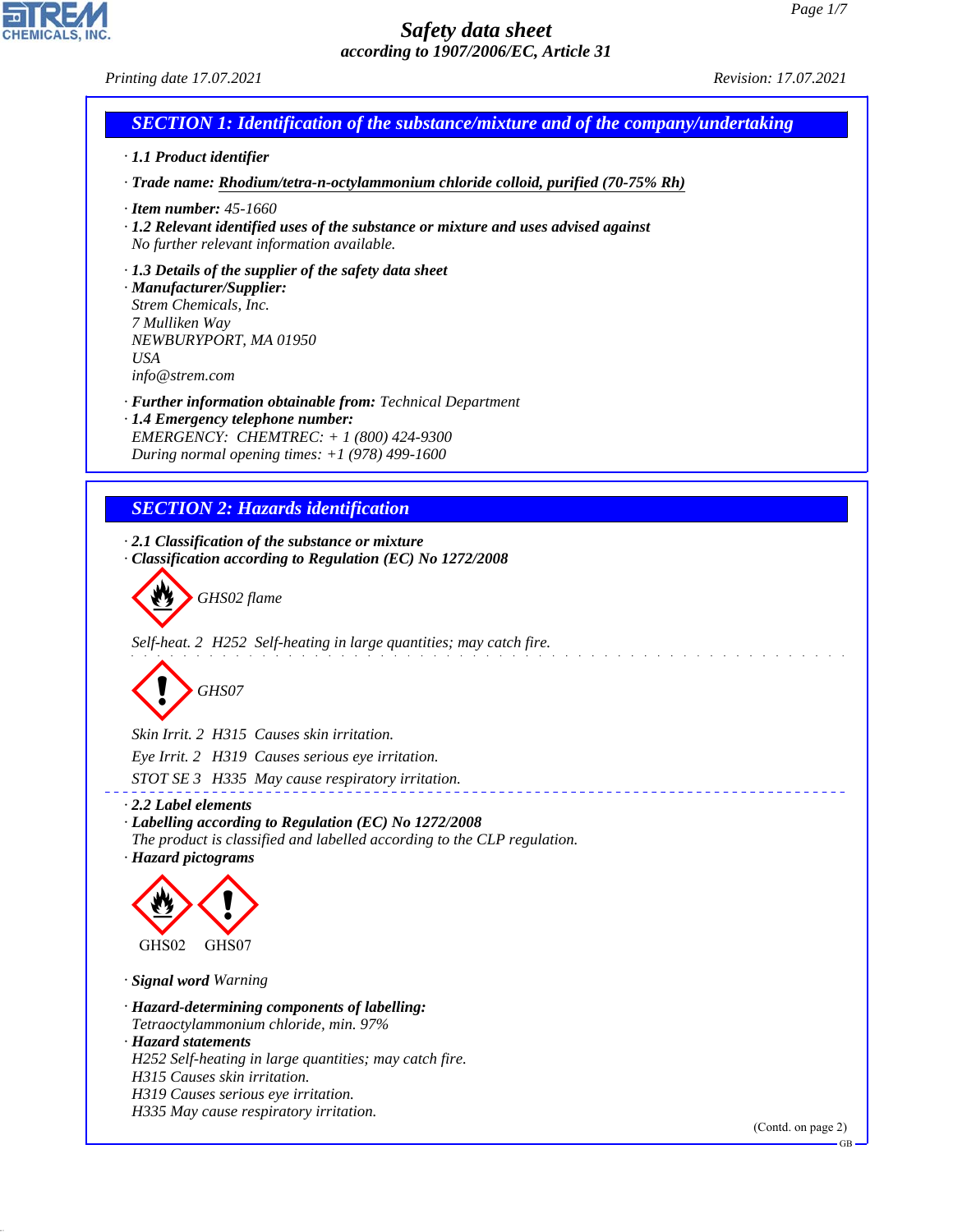

# *SECTION 1: Identification of the substance/mixture and of the company/undertaking*

*· 1.1 Product identifier*

*· Trade name: Rhodium/tetra-n-octylammonium chloride colloid, purified (70-75% Rh)*

- *· Item number: 45-1660*
- *· 1.2 Relevant identified uses of the substance or mixture and uses advised against No further relevant information available.*
- *· 1.3 Details of the supplier of the safety data sheet*

*· Manufacturer/Supplier: Strem Chemicals, Inc. 7 Mulliken Way NEWBURYPORT, MA 01950 USA info@strem.com*

*· Further information obtainable from: Technical Department*

*· 1.4 Emergency telephone number: EMERGENCY: CHEMTREC: + 1 (800) 424-9300 During normal opening times: +1 (978) 499-1600*

# *SECTION 2: Hazards identification*

*· 2.1 Classification of the substance or mixture · Classification according to Regulation (EC) No 1272/2008*



*Self-heat. 2 H252 Self-heating in large quantities; may catch fire.*



*Skin Irrit. 2 H315 Causes skin irritation. Eye Irrit. 2 H319 Causes serious eye irritation.*

*STOT SE 3 H335 May cause respiratory irritation.*

- *· 2.2 Label elements · Labelling according to Regulation (EC) No 1272/2008 The product is classified and labelled according to the CLP regulation.*
- *· Hazard pictograms*



*· Signal word Warning*

*· Hazard-determining components of labelling: Tetraoctylammonium chloride, min. 97%*

*· Hazard statements*

44.1.1

*H252 Self-heating in large quantities; may catch fire.*

*H315 Causes skin irritation.*

*H335 May cause respiratory irritation.*

(Contd. on page 2)

\_\_\_\_\_\_\_\_\_\_\_\_\_\_\_\_

*H319 Causes serious eye irritation.*

GB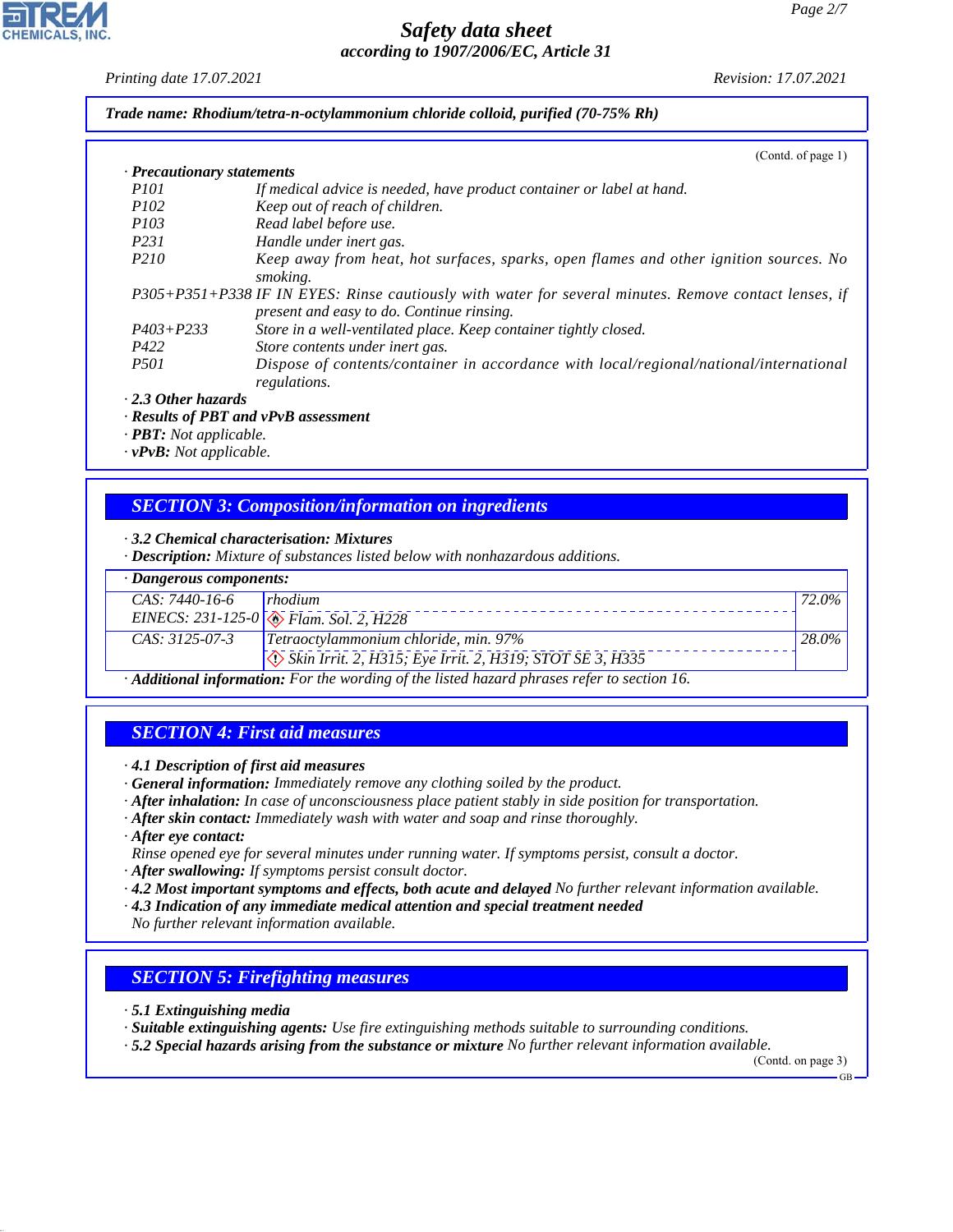#### *Printing date 17.07.2021 Revision: 17.07.2021*

*Trade name: Rhodium/tetra-n-octylammonium chloride colloid, purified (70-75% Rh)*

|                            | (Cond. of page 1)                                                                                                                                  |
|----------------------------|----------------------------------------------------------------------------------------------------------------------------------------------------|
| · Precautionary statements |                                                                                                                                                    |
| <i>P<sub>101</sub></i>     | If medical advice is needed, have product container or label at hand.                                                                              |
| <i>P102</i>                | Keep out of reach of children.                                                                                                                     |
| <i>P103</i>                | Read label before use.                                                                                                                             |
| P <sub>231</sub>           | Handle under inert gas.                                                                                                                            |
| P <sub>210</sub>           | Keep away from heat, hot surfaces, sparks, open flames and other ignition sources. No<br>smoking.                                                  |
|                            | P305+P351+P338 IF IN EYES: Rinse cautiously with water for several minutes. Remove contact lenses, if<br>present and easy to do. Continue rinsing. |
| $P403 + P233$              | Store in a well-ventilated place. Keep container tightly closed.                                                                                   |
| P422                       | Store contents under inert gas.                                                                                                                    |
| <i>P501</i>                | Dispose of contents/container in accordance with local/regional/national/international<br>regulations.                                             |
|                            |                                                                                                                                                    |

*· 2.3 Other hazards*

*· Results of PBT and vPvB assessment*

*· PBT: Not applicable.*

*· vPvB: Not applicable.*

# *SECTION 3: Composition/information on ingredients*

*· 3.2 Chemical characterisation: Mixtures*

*· Description: Mixture of substances listed below with nonhazardous additions.*

| $\cdot$ Dangerous components:                                                                                                                                                                                                                                                                                                          |                                                                             |          |  |  |
|----------------------------------------------------------------------------------------------------------------------------------------------------------------------------------------------------------------------------------------------------------------------------------------------------------------------------------------|-----------------------------------------------------------------------------|----------|--|--|
| $CAS: 7440-16-6$ rhodium                                                                                                                                                                                                                                                                                                               |                                                                             | 72.0%    |  |  |
|                                                                                                                                                                                                                                                                                                                                        | EINECS: 231-125-0 $\sqrt{\textcircled{\textcircled{*}}}$ Flam. Sol. 2, H228 |          |  |  |
| $CAS. 3125-07-3$                                                                                                                                                                                                                                                                                                                       | Tetraoctylammonium chloride, min. 97%                                       | $28.0\%$ |  |  |
|                                                                                                                                                                                                                                                                                                                                        | Skin Irrit. 2, H315; Eye Irrit. 2, H319; STOT SE 3, H335                    |          |  |  |
| $\Lambda$ JJ22 and $f_1, f_2, \ldots, f_4$ and $F_1, \ldots, F_{n-1}, f_{n-1}, f_{n-1}, f_{n-1}, f_{n-1}, f_{n-1}, f_{n-1}, f_{n-1}, f_{n-1}, f_{n-1}, f_{n-1}, f_{n-1}, f_{n-1}, f_{n-1}, f_{n-1}, f_{n-1}, f_{n-1}, f_{n-1}, f_{n-1}, f_{n-1}, f_{n-1}, f_{n-1}, f_{n-1}, f_{n-1}, f_{n-1}, f_{n-1}, f_{n-1}, f_{n-1}, f_{n-1}, f_{$ |                                                                             |          |  |  |

*· Additional information: For the wording of the listed hazard phrases refer to section 16.*

# *SECTION 4: First aid measures*

- *· 4.1 Description of first aid measures*
- *· General information: Immediately remove any clothing soiled by the product.*
- *· After inhalation: In case of unconsciousness place patient stably in side position for transportation.*
- *· After skin contact: Immediately wash with water and soap and rinse thoroughly.*
- *· After eye contact:*
- *Rinse opened eye for several minutes under running water. If symptoms persist, consult a doctor.*
- *· After swallowing: If symptoms persist consult doctor.*
- *· 4.2 Most important symptoms and effects, both acute and delayed No further relevant information available.*
- *· 4.3 Indication of any immediate medical attention and special treatment needed*

*No further relevant information available.*

# *SECTION 5: Firefighting measures*

*· 5.1 Extinguishing media*

44.1.1

*· Suitable extinguishing agents: Use fire extinguishing methods suitable to surrounding conditions.*

*· 5.2 Special hazards arising from the substance or mixture No further relevant information available.*

(Contd. on page 3)

GB

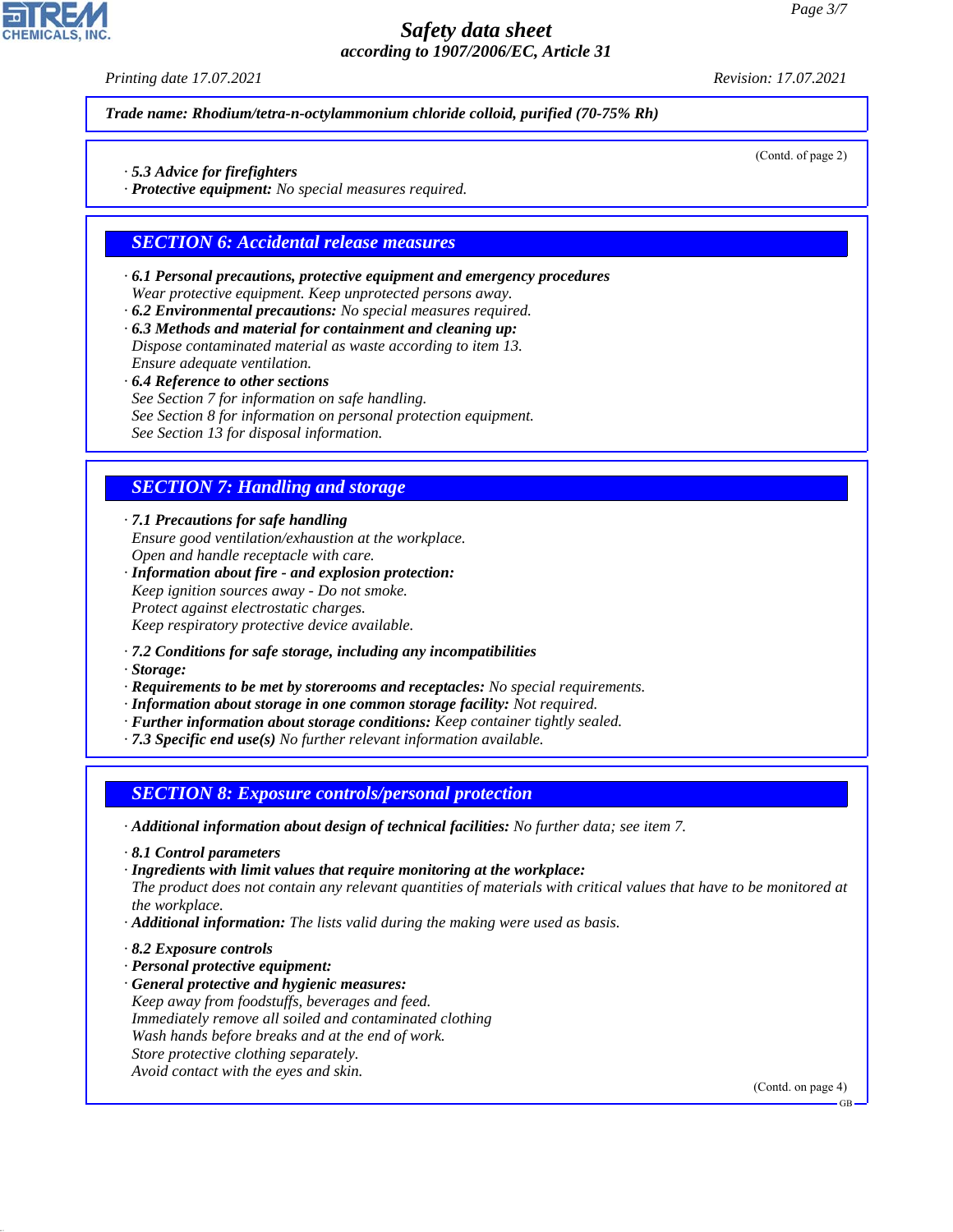*Printing date 17.07.2021 Revision: 17.07.2021*

(Contd. of page 2)

*Trade name: Rhodium/tetra-n-octylammonium chloride colloid, purified (70-75% Rh)*

- *· 5.3 Advice for firefighters*
- *· Protective equipment: No special measures required.*

#### *SECTION 6: Accidental release measures*

- *· 6.1 Personal precautions, protective equipment and emergency procedures Wear protective equipment. Keep unprotected persons away.*
- *· 6.2 Environmental precautions: No special measures required.*
- *· 6.3 Methods and material for containment and cleaning up: Dispose contaminated material as waste according to item 13.*
- *Ensure adequate ventilation.*
- *· 6.4 Reference to other sections*
- *See Section 7 for information on safe handling.*
- *See Section 8 for information on personal protection equipment.*

*See Section 13 for disposal information.*

#### *SECTION 7: Handling and storage*

*· 7.1 Precautions for safe handling Ensure good ventilation/exhaustion at the workplace. Open and handle receptacle with care.*

- *· Information about fire and explosion protection: Keep ignition sources away - Do not smoke. Protect against electrostatic charges. Keep respiratory protective device available.*
- *· 7.2 Conditions for safe storage, including any incompatibilities*
- *· Storage:*
- *· Requirements to be met by storerooms and receptacles: No special requirements.*
- *· Information about storage in one common storage facility: Not required.*
- *· Further information about storage conditions: Keep container tightly sealed.*
- *· 7.3 Specific end use(s) No further relevant information available.*

#### *SECTION 8: Exposure controls/personal protection*

- *· Additional information about design of technical facilities: No further data; see item 7.*
- *· 8.1 Control parameters*

*· Ingredients with limit values that require monitoring at the workplace: The product does not contain any relevant quantities of materials with critical values that have to be monitored at the workplace.*

- *· Additional information: The lists valid during the making were used as basis.*
- *· 8.2 Exposure controls*

44.1.1

- *· Personal protective equipment:*
- *· General protective and hygienic measures: Keep away from foodstuffs, beverages and feed. Immediately remove all soiled and contaminated clothing Wash hands before breaks and at the end of work. Store protective clothing separately. Avoid contact with the eyes and skin.*

(Contd. on page 4)

GB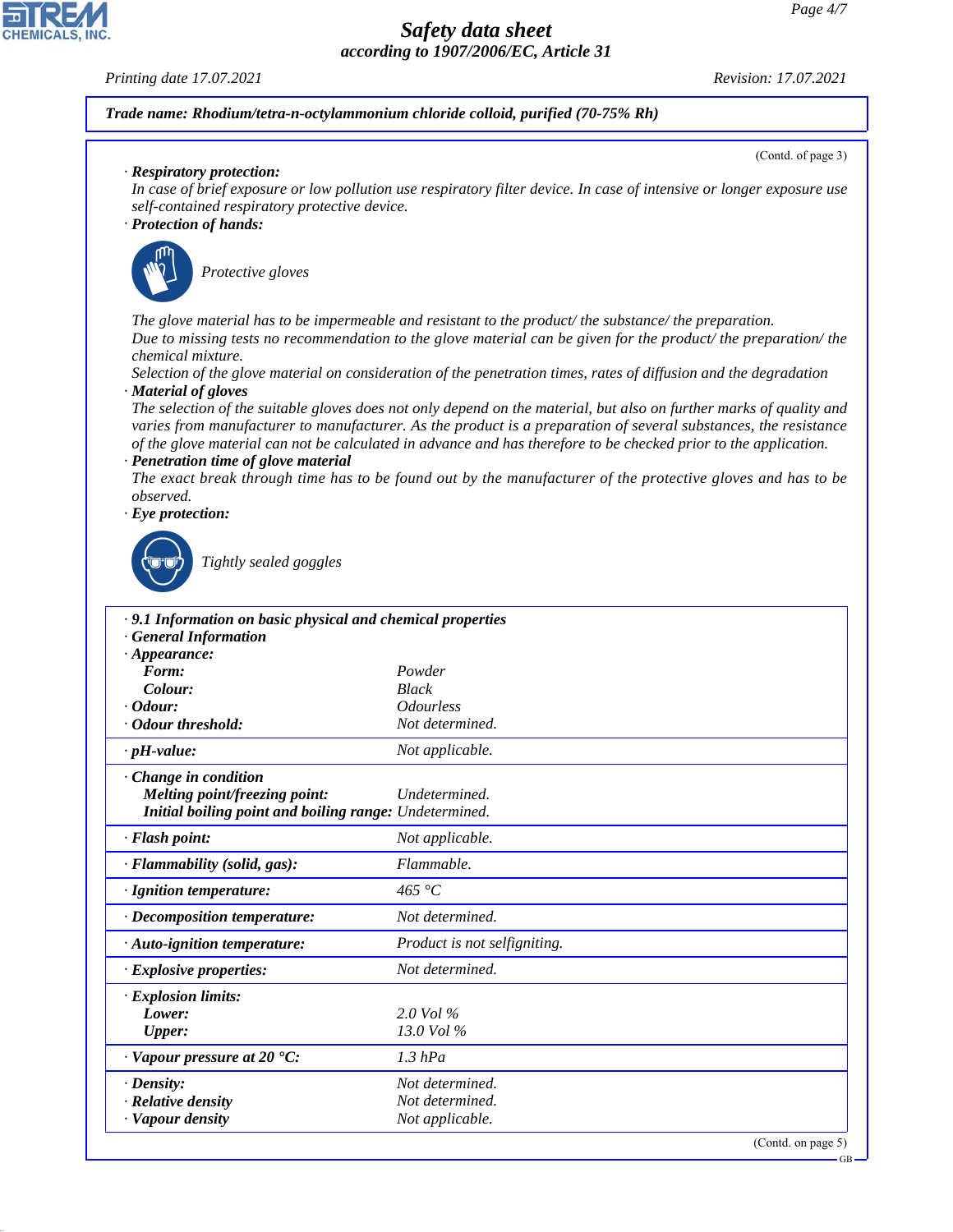#### *Printing date 17.07.2021 Revision: 17.07.2021*

# *Trade name: Rhodium/tetra-n-octylammonium chloride colloid, purified (70-75% Rh)*

(Contd. of page 3)

### *· Respiratory protection:*

*In case of brief exposure or low pollution use respiratory filter device. In case of intensive or longer exposure use self-contained respiratory protective device.*

## *· Protection of hands:*



\_S*Protective gloves*

*The glove material has to be impermeable and resistant to the product/ the substance/ the preparation. Due to missing tests no recommendation to the glove material can be given for the product/ the preparation/ the chemical mixture.*

*Selection of the glove material on consideration of the penetration times, rates of diffusion and the degradation · Material of gloves*

*The selection of the suitable gloves does not only depend on the material, but also on further marks of quality and varies from manufacturer to manufacturer. As the product is a preparation of several substances, the resistance of the glove material can not be calculated in advance and has therefore to be checked prior to the application. · Penetration time of glove material*

*The exact break through time has to be found out by the manufacturer of the protective gloves and has to be observed.*

*· Eye protection:*



44.1.1

\_R*Tightly sealed goggles*

| .9.1 Information on basic physical and chemical properties<br><b>General Information</b> |                              |  |  |
|------------------------------------------------------------------------------------------|------------------------------|--|--|
| $\cdot$ Appearance:                                                                      |                              |  |  |
| Form:                                                                                    | Powder                       |  |  |
| Colour:                                                                                  | <b>Black</b>                 |  |  |
| $\cdot$ Odour:                                                                           | <i><b>Odourless</b></i>      |  |  |
| Odour threshold:                                                                         | Not determined.              |  |  |
| $\cdot$ pH-value:                                                                        | Not applicable.              |  |  |
| $\cdot$ Change in condition                                                              |                              |  |  |
| <b>Melting point/freezing point:</b>                                                     | Undetermined.                |  |  |
| Initial boiling point and boiling range: Undetermined.                                   |                              |  |  |
| · Flash point:                                                                           | Not applicable.              |  |  |
| · Flammability (solid, gas):                                                             | Flammable.                   |  |  |
| · Ignition temperature:                                                                  | 465 $\degree$ C              |  |  |
| · Decomposition temperature:                                                             | Not determined.              |  |  |
| $\cdot$ Auto-ignition temperature:                                                       | Product is not selfigniting. |  |  |
| · Explosive properties:                                                                  | Not determined.              |  |  |
| · Explosion limits:                                                                      |                              |  |  |
| Lower:                                                                                   | $2.0$ Vol $\%$               |  |  |
| <b>Upper:</b>                                                                            | 13.0 Vol %                   |  |  |
| $\cdot$ Vapour pressure at 20 $\cdot$ C:                                                 | $1.3$ hPa                    |  |  |
| $\cdot$ Density:                                                                         | Not determined.              |  |  |
| · Relative density                                                                       | Not determined.              |  |  |
| · Vapour density                                                                         | Not applicable.              |  |  |
|                                                                                          | $(0.44 - 0.02)$              |  |  |

(Contd. on page 5)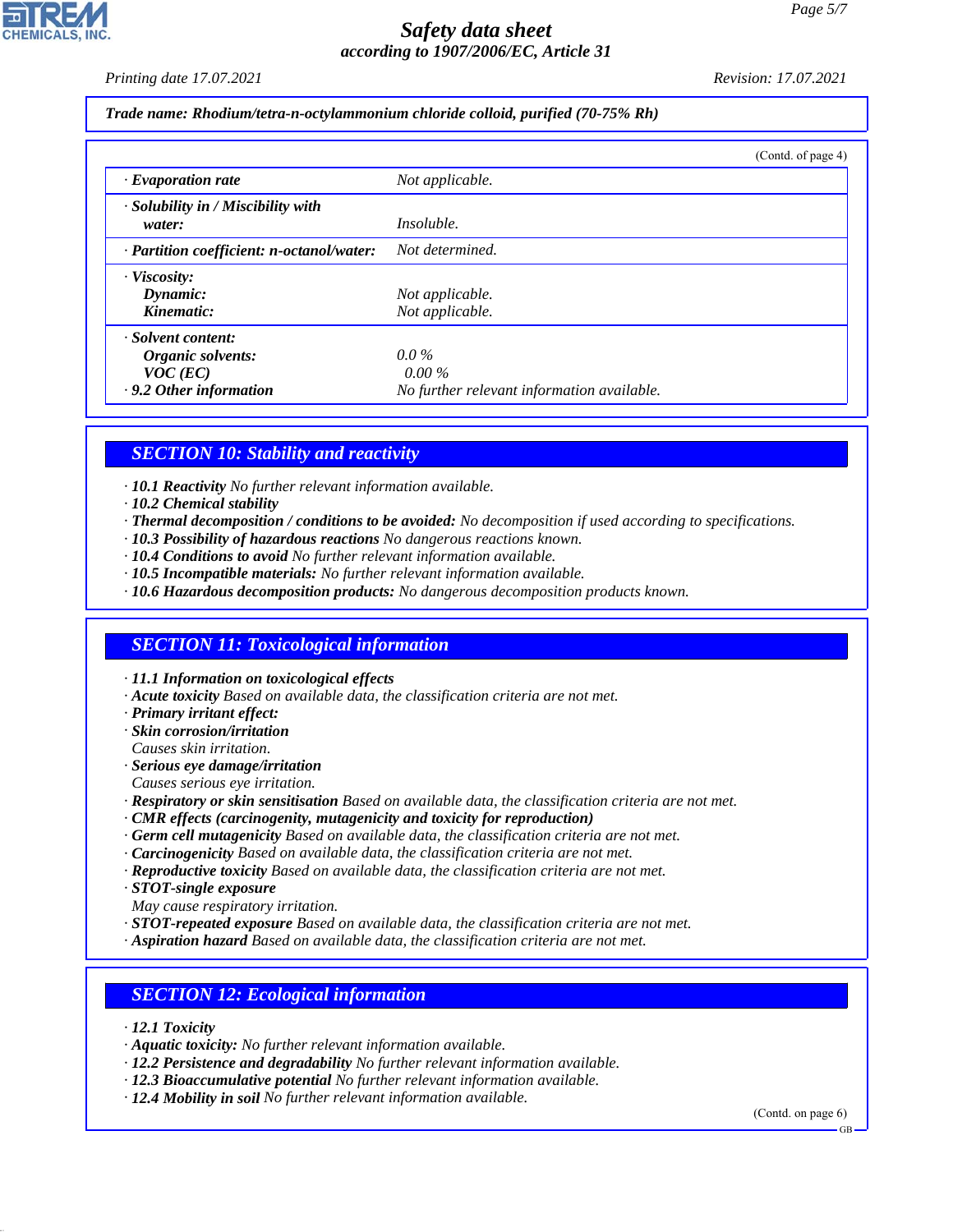*Printing date 17.07.2021 Revision: 17.07.2021*

*Trade name: Rhodium/tetra-n-octylammonium chloride colloid, purified (70-75% Rh)*

|                                                    | (Contd. of page 4)                         |
|----------------------------------------------------|--------------------------------------------|
| $\cdot$ Evaporation rate                           | Not applicable.                            |
| $\cdot$ Solubility in / Miscibility with<br>water: | <i>Insoluble.</i>                          |
| · Partition coefficient: n-octanol/water:          | Not determined.                            |
| · Viscosity:                                       |                                            |
| Dynamic:                                           | Not applicable.                            |
| Kinematic:                                         | Not applicable.                            |
| · Solvent content:                                 |                                            |
| Organic solvents:                                  | $0.0\%$                                    |
| $VOC$ (EC)                                         | $0.00\%$                                   |
| .9.2 Other information                             | No further relevant information available. |

# *SECTION 10: Stability and reactivity*

- *· 10.1 Reactivity No further relevant information available.*
- *· 10.2 Chemical stability*
- *· Thermal decomposition / conditions to be avoided: No decomposition if used according to specifications.*
- *· 10.3 Possibility of hazardous reactions No dangerous reactions known.*
- *· 10.4 Conditions to avoid No further relevant information available.*
- *· 10.5 Incompatible materials: No further relevant information available.*
- *· 10.6 Hazardous decomposition products: No dangerous decomposition products known.*

# *SECTION 11: Toxicological information*

*· 11.1 Information on toxicological effects*

- *· Acute toxicity Based on available data, the classification criteria are not met.*
- *· Primary irritant effect:*
- *· Skin corrosion/irritation Causes skin irritation.*
- *· Serious eye damage/irritation*
- *Causes serious eye irritation.*
- *· Respiratory or skin sensitisation Based on available data, the classification criteria are not met.*
- *· CMR effects (carcinogenity, mutagenicity and toxicity for reproduction)*
- *· Germ cell mutagenicity Based on available data, the classification criteria are not met.*
- *· Carcinogenicity Based on available data, the classification criteria are not met.*
- *· Reproductive toxicity Based on available data, the classification criteria are not met.*
- *· STOT-single exposure*
- *May cause respiratory irritation.*
- *· STOT-repeated exposure Based on available data, the classification criteria are not met.*
- *· Aspiration hazard Based on available data, the classification criteria are not met.*

# *SECTION 12: Ecological information*

*· 12.1 Toxicity*

44.1.1

- *· Aquatic toxicity: No further relevant information available.*
- *· 12.2 Persistence and degradability No further relevant information available.*
- *· 12.3 Bioaccumulative potential No further relevant information available.*
- *· 12.4 Mobility in soil No further relevant information available.*

(Contd. on page 6)

GB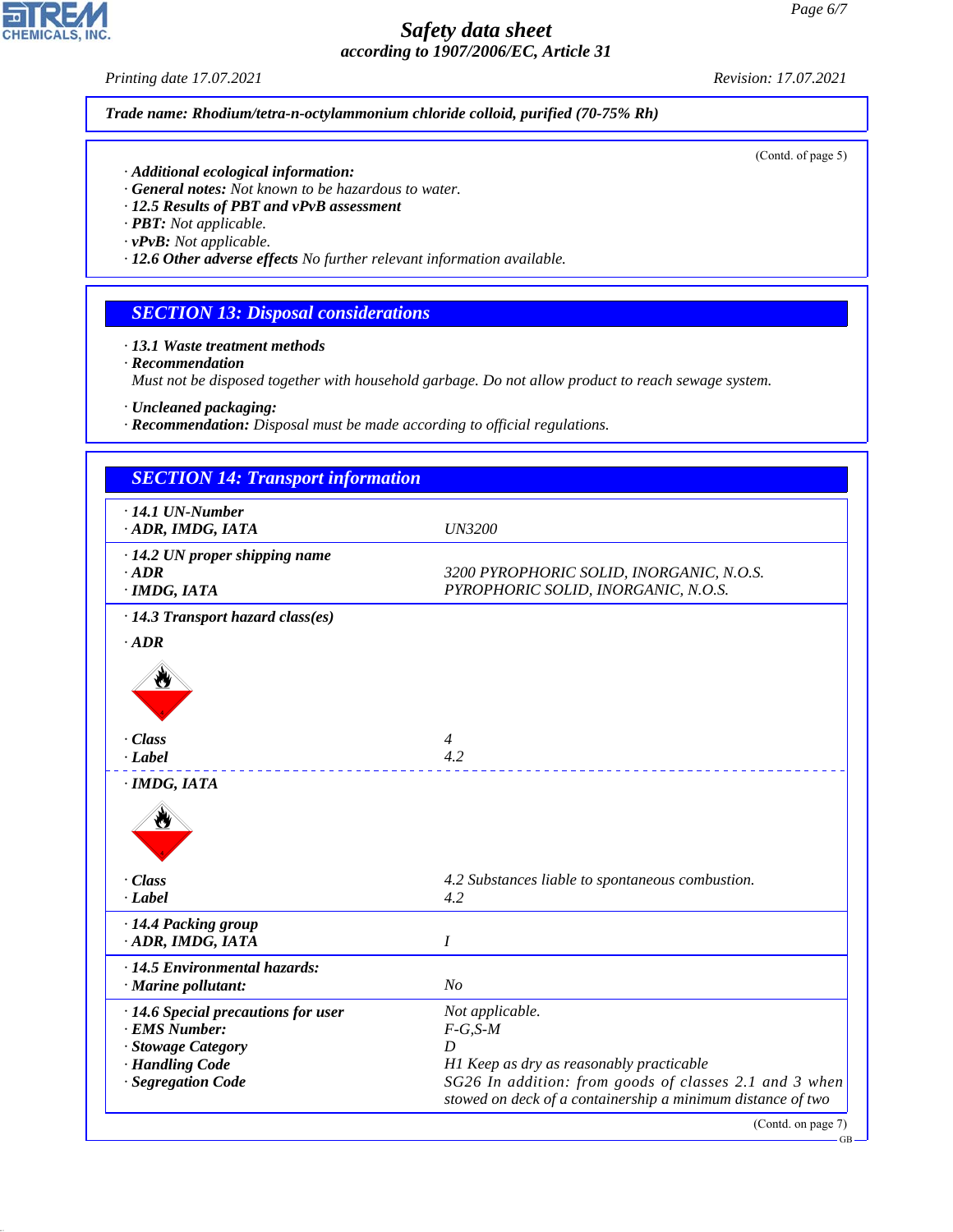*Printing date 17.07.2021 Revision: 17.07.2021*

*Trade name: Rhodium/tetra-n-octylammonium chloride colloid, purified (70-75% Rh)*

(Contd. of page 5)

- *· Additional ecological information:*
- *· General notes: Not known to be hazardous to water.*
- *· 12.5 Results of PBT and vPvB assessment*
- *· PBT: Not applicable.*
- *· vPvB: Not applicable.*
- *· 12.6 Other adverse effects No further relevant information available.*

# *SECTION 13: Disposal considerations*

*· 13.1 Waste treatment methods*

*· Recommendation*

*Must not be disposed together with household garbage. Do not allow product to reach sewage system.*

*· Uncleaned packaging:*

*· Recommendation: Disposal must be made according to official regulations.*

| <b>SECTION 14: Transport information</b>                                                                            |                                                                                                                                                                                                         |  |
|---------------------------------------------------------------------------------------------------------------------|---------------------------------------------------------------------------------------------------------------------------------------------------------------------------------------------------------|--|
| $\cdot$ 14.1 UN-Number<br>ADR, IMDG, IATA                                                                           | <b>UN3200</b>                                                                                                                                                                                           |  |
| $\cdot$ 14.2 UN proper shipping name<br>$\cdot$ ADR<br>$\cdot$ IMDG, IATA                                           | 3200 PYROPHORIC SOLID, INORGANIC, N.O.S.<br>PYROPHORIC SOLID, INORGANIC, N.O.S.                                                                                                                         |  |
| · 14.3 Transport hazard class(es)                                                                                   |                                                                                                                                                                                                         |  |
| $-ADR$                                                                                                              |                                                                                                                                                                                                         |  |
| $\cdot$ Class<br>$\cdot$ <i>Label</i>                                                                               | $\overline{4}$<br>4.2                                                                                                                                                                                   |  |
| · IMDG, IATA                                                                                                        |                                                                                                                                                                                                         |  |
|                                                                                                                     |                                                                                                                                                                                                         |  |
| · Class                                                                                                             | 4.2 Substances liable to spontaneous combustion.                                                                                                                                                        |  |
| · Label                                                                                                             | 4.2                                                                                                                                                                                                     |  |
| · 14.4 Packing group<br>· ADR, IMDG, IATA                                                                           | I                                                                                                                                                                                                       |  |
| · 14.5 Environmental hazards:<br>· Marine pollutant:                                                                | N <sub>o</sub>                                                                                                                                                                                          |  |
| · 14.6 Special precautions for user<br>· EMS Number:<br>· Stowage Category<br>· Handling Code<br>· Segregation Code | Not applicable.<br>$F-G, S-M$<br>D<br>H1 Keep as dry as reasonably practicable<br>SG26 In addition: from goods of classes 2.1 and 3 when<br>stowed on deck of a containership a minimum distance of two |  |
|                                                                                                                     | (Contd. on page 7)                                                                                                                                                                                      |  |



44.1.1